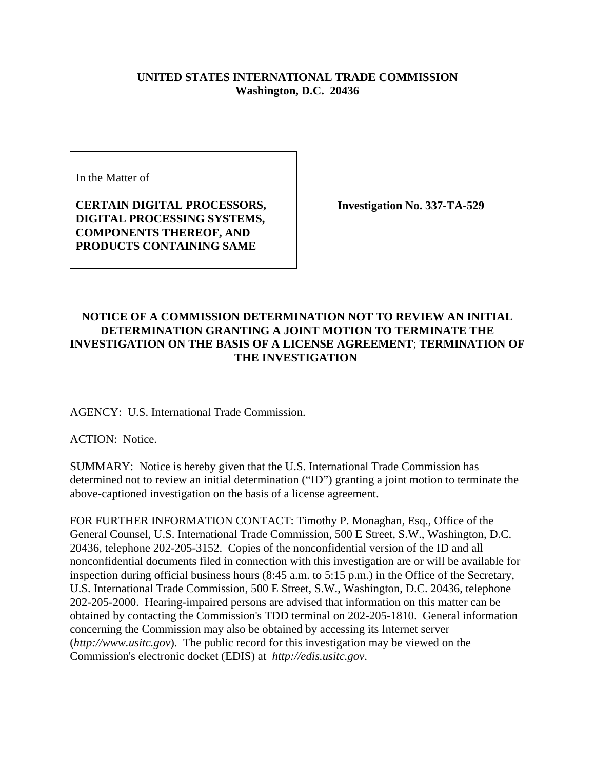## **UNITED STATES INTERNATIONAL TRADE COMMISSION Washington, D.C. 20436**

In the Matter of

**CERTAIN DIGITAL PROCESSORS, DIGITAL PROCESSING SYSTEMS, COMPONENTS THEREOF, AND PRODUCTS CONTAINING SAME** 

**Investigation No. 337-TA-529**

## **NOTICE OF A COMMISSION DETERMINATION NOT TO REVIEW AN INITIAL DETERMINATION GRANTING A JOINT MOTION TO TERMINATE THE INVESTIGATION ON THE BASIS OF A LICENSE AGREEMENT**; **TERMINATION OF THE INVESTIGATION**

AGENCY: U.S. International Trade Commission.

ACTION: Notice.

SUMMARY: Notice is hereby given that the U.S. International Trade Commission has determined not to review an initial determination ("ID") granting a joint motion to terminate the above-captioned investigation on the basis of a license agreement.

FOR FURTHER INFORMATION CONTACT: Timothy P. Monaghan, Esq., Office of the General Counsel, U.S. International Trade Commission, 500 E Street, S.W., Washington, D.C. 20436, telephone 202-205-3152. Copies of the nonconfidential version of the ID and all nonconfidential documents filed in connection with this investigation are or will be available for inspection during official business hours (8:45 a.m. to 5:15 p.m.) in the Office of the Secretary, U.S. International Trade Commission, 500 E Street, S.W., Washington, D.C. 20436, telephone 202-205-2000. Hearing-impaired persons are advised that information on this matter can be obtained by contacting the Commission's TDD terminal on 202-205-1810. General information concerning the Commission may also be obtained by accessing its Internet server (*http://www.usitc.gov*). The public record for this investigation may be viewed on the Commission's electronic docket (EDIS) at *http://edis.usitc.gov*.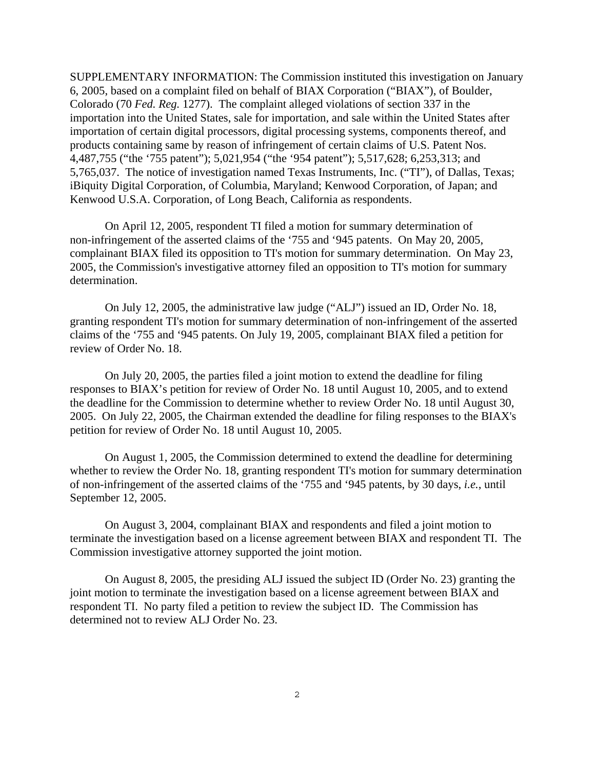SUPPLEMENTARY INFORMATION: The Commission instituted this investigation on January 6, 2005, based on a complaint filed on behalf of BIAX Corporation ("BIAX"), of Boulder, Colorado (70 *Fed. Reg.* 1277). The complaint alleged violations of section 337 in the importation into the United States, sale for importation, and sale within the United States after importation of certain digital processors, digital processing systems, components thereof, and products containing same by reason of infringement of certain claims of U.S. Patent Nos. 4,487,755 ("the '755 patent"); 5,021,954 ("the '954 patent"); 5,517,628; 6,253,313; and 5,765,037. The notice of investigation named Texas Instruments, Inc. ("TI"), of Dallas, Texas; iBiquity Digital Corporation, of Columbia, Maryland; Kenwood Corporation, of Japan; and Kenwood U.S.A. Corporation, of Long Beach, California as respondents.

On April 12, 2005, respondent TI filed a motion for summary determination of non-infringement of the asserted claims of the '755 and '945 patents. On May 20, 2005, complainant BIAX filed its opposition to TI's motion for summary determination. On May 23, 2005, the Commission's investigative attorney filed an opposition to TI's motion for summary determination.

On July 12, 2005, the administrative law judge ("ALJ") issued an ID, Order No. 18, granting respondent TI's motion for summary determination of non-infringement of the asserted claims of the '755 and '945 patents. On July 19, 2005, complainant BIAX filed a petition for review of Order No. 18.

On July 20, 2005, the parties filed a joint motion to extend the deadline for filing responses to BIAX's petition for review of Order No. 18 until August 10, 2005, and to extend the deadline for the Commission to determine whether to review Order No. 18 until August 30, 2005. On July 22, 2005, the Chairman extended the deadline for filing responses to the BIAX's petition for review of Order No. 18 until August 10, 2005.

On August 1, 2005, the Commission determined to extend the deadline for determining whether to review the Order No. 18, granting respondent TI's motion for summary determination of non-infringement of the asserted claims of the '755 and '945 patents, by 30 days, *i.e.*, until September 12, 2005.

On August 3, 2004, complainant BIAX and respondents and filed a joint motion to terminate the investigation based on a license agreement between BIAX and respondent TI. The Commission investigative attorney supported the joint motion.

On August 8, 2005, the presiding ALJ issued the subject ID (Order No. 23) granting the joint motion to terminate the investigation based on a license agreement between BIAX and respondent TI. No party filed a petition to review the subject ID. The Commission has determined not to review ALJ Order No. 23.